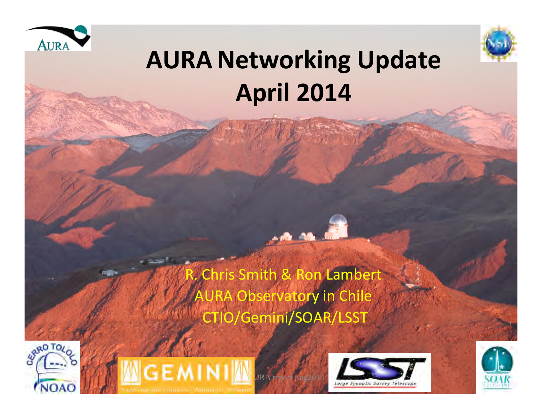



#### **AURA Networking Update April 2014**

ris Smith & Ron Lamb **AURA Observatory in Chile**  CTIO/Gemini/SOAR/LSST 









1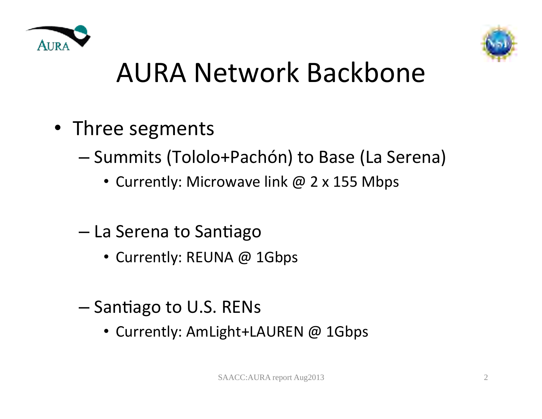



## AURA Network Backbone

- Three segments
	- Summits (Tololo+Pachón) to Base (La Serena)
		- Currently: Microwave link @ 2 x 155 Mbps
	- $-$  La Serena to Santiago
		- Currently: REUNA @ 1Gbps
	- $-$  Santiago to U.S. RENs
		- Currently: AmLight+LAUREN @ 1Gbps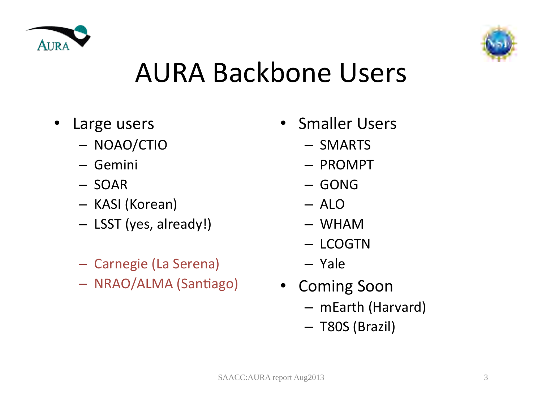



#### AURA Backbone Users

- Large users
	- NOAO/CTIO
	- Gemini
	- SOAR
	- KASI (Korean)
	- LSST (yes, already!)
	- Carnegie (La Serena)
	- NRAO/ALMA (Santiago)
- **Smaller Users** 
	- SMARTS
	- PROMPT
	- GONG
	- ALO
	- WHAM
	- LCOGTN
	- Yale
- Coming Soon
	- mEarth (Harvard)
	- T80S (Brazil)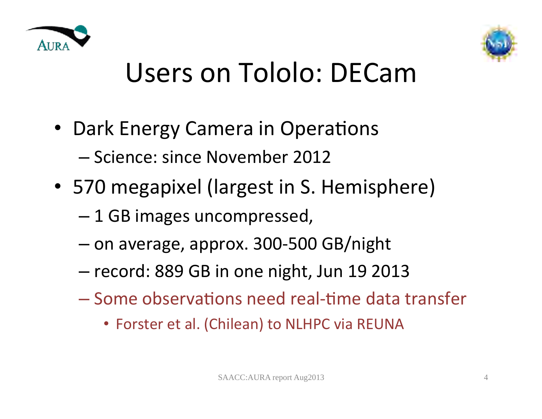



## Users on Tololo: DECam

- Dark Energy Camera in Operations – Science: since November 2012
- 570 megapixel (largest in S. Hemisphere)
	- $-1$  GB images uncompressed,
	- on average, approx. 300-500 GB/night
	- record: 889 GB in one night, Jun 19 2013
	- $-$  Some observations need real-time data transfer
		- Forster et al. (Chilean) to NLHPC via REUNA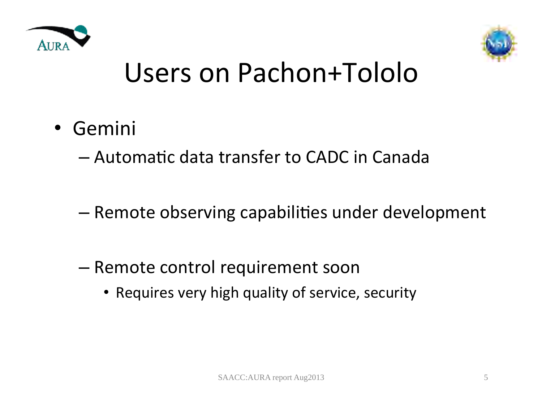



#### Users on Pachon+Tololo

• Gemini 

 $-$  Automatic data transfer to CADC in Canada

- $-$  Remote observing capabilities under development
- Remote control requirement soon
	- Requires very high quality of service, security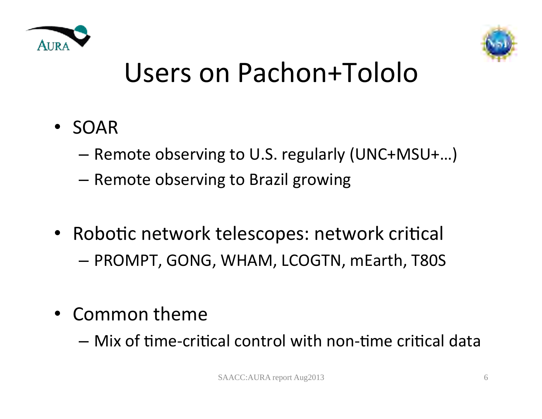



#### Users on Pachon+Tololo

- SOAR
	- $-$  Remote observing to U.S. regularly (UNC+MSU+...)
	- $-$  Remote observing to Brazil growing
- Robotic network telescopes: network critical  $-$  PROMPT, GONG, WHAM, LCOGTN, mEarth, T80S
- Common theme
	- $-$  Mix of time-critical control with non-time critical data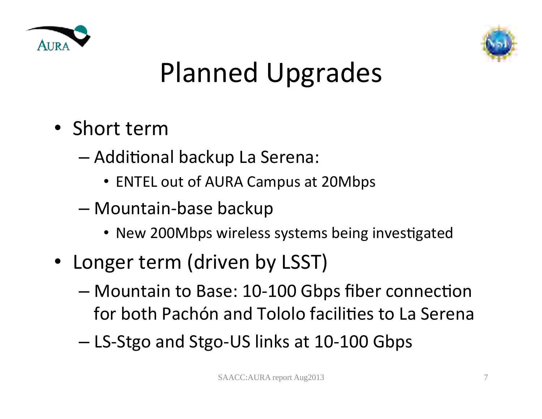



# Planned Upgrades

- Short term
	- $-$  Additional backup La Serena:
		- ENTEL out of AURA Campus at 20Mbps
	- Mountain-base backup
		- New 200Mbps wireless systems being investigated
- Longer term (driven by LSST)
	- Mountain to Base: 10-100 Gbps fiber connection for both Pachón and Tololo facilities to La Serena
	- LS-Stgo and Stgo-US links at 10-100 Gbps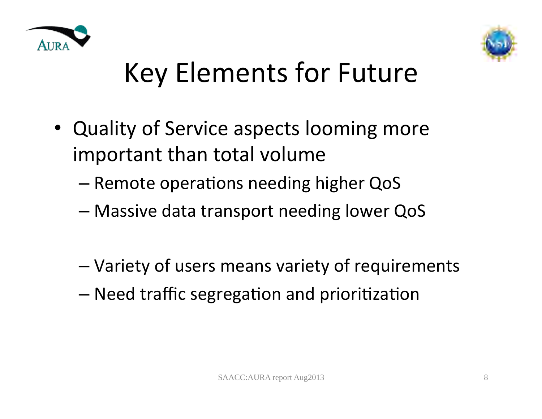



## Key Elements for Future

- Quality of Service aspects looming more important than total volume
	- Remote operations needing higher QoS
	- Massive data transport needing lower QoS
	- Variety of users means variety of requirements
	- $-$  Need traffic segregation and prioritization